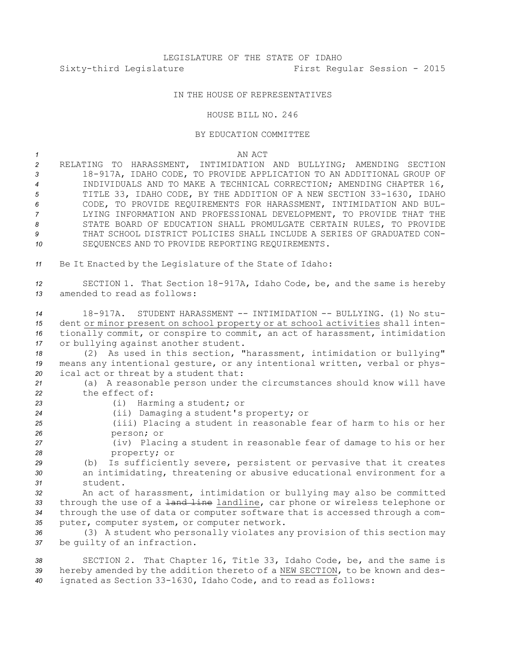## IN THE HOUSE OF REPRESENTATIVES

HOUSE BILL NO. 246

## BY EDUCATION COMMITTEE

*1* AN ACT

 RELATING TO HARASSMENT, INTIMIDATION AND BULLYING; AMENDING SECTION 18-917A, IDAHO CODE, TO PROVIDE APPLICATION TO AN ADDITIONAL GROUP OF INDIVIDUALS AND TO MAKE A TECHNICAL CORRECTION; AMENDING CHAPTER 16, TITLE 33, IDAHO CODE, BY THE ADDITION OF A NEW SECTION 33-1630, IDAHO CODE, TO PROVIDE REQUIREMENTS FOR HARASSMENT, INTIMIDATION AND BUL- LYING INFORMATION AND PROFESSIONAL DEVELOPMENT, TO PROVIDE THAT THE STATE BOARD OF EDUCATION SHALL PROMULGATE CERTAIN RULES, TO PROVIDE THAT SCHOOL DISTRICT POLICIES SHALL INCLUDE A SERIES OF GRADUATED CON-SEQUENCES AND TO PROVIDE REPORTING REQUIREMENTS.

*<sup>11</sup>* Be It Enacted by the Legislature of the State of Idaho:

*<sup>12</sup>* SECTION 1. That Section 18-917A, Idaho Code, be, and the same is hereby *13* amended to read as follows:

 18-917A. STUDENT HARASSMENT -- INTIMIDATION -- BULLYING. (1) No stu- dent or minor present on school property or at school activities shall inten- tionally commit, or conspire to commit, an act of harassment, intimidation or bullying against another student.

*<sup>18</sup>* (2) As used in this section, "harassment, intimidation or bullying" *<sup>19</sup>* means any intentional gesture, or any intentional written, verbal or phys-*<sup>20</sup>* ical act or threat by <sup>a</sup> student that:

*<sup>21</sup>* (a) <sup>A</sup> reasonable person under the circumstances should know will have *22* the effect of:

- *<sup>23</sup>* (i) Harming <sup>a</sup> student; or
- *<sup>24</sup>* (ii) Damaging <sup>a</sup> student's property; or
- *<sup>25</sup>* (iii) Placing <sup>a</sup> student in reasonable fear of harm to his or her *26* person; or
- *<sup>27</sup>* (iv) Placing <sup>a</sup> student in reasonable fear of damage to his or her *28* property; or
- *<sup>29</sup>* (b) Is sufficiently severe, persistent or pervasive that it creates *<sup>30</sup>* an intimidating, threatening or abusive educational environment for <sup>a</sup> *31* student.

 An act of harassment, intimidation or bullying may also be committed 33 through the use of a <del>land line</del> landline, car phone or wireless telephone or through the use of data or computer software that is accessed through <sup>a</sup> com-puter, computer system, or computer network.

*<sup>36</sup>* (3) <sup>A</sup> student who personally violates any provision of this section may *<sup>37</sup>* be guilty of an infraction.

*<sup>38</sup>* SECTION 2. That Chapter 16, Title 33, Idaho Code, be, and the same is *<sup>39</sup>* hereby amended by the addition thereto of <sup>a</sup> NEW SECTION, to be known and des-*<sup>40</sup>* ignated as Section 33-1630, Idaho Code, and to read as follows: